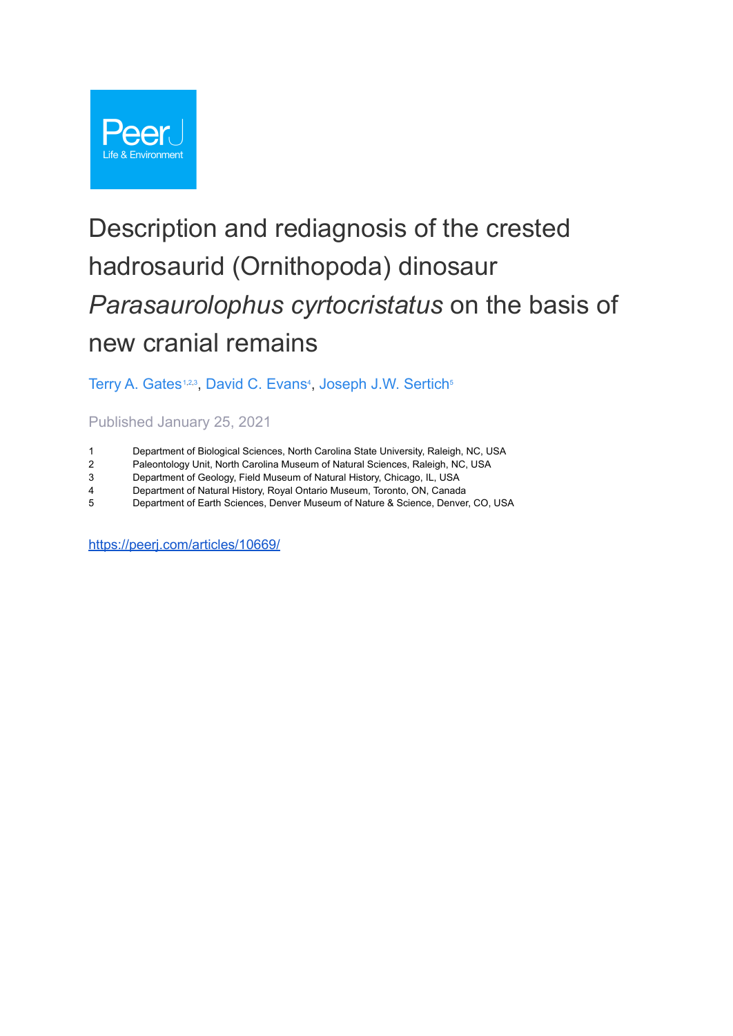

# Description and rediagnosis of the crested hadrosaurid (Ornithopoda) dinosaur *Parasaurolophus cyrtocristatus* on the basis of new cranial remains

[Terry A. Gates](https://peerj.com/articles/10669/author-1)<sup>[1,](https://peerj.com/articles/10669/#aff-1)[2](https://peerj.com/articles/10669/#aff-2),[3](https://peerj.com/articles/10669/#aff-3)</sup>, [David C. Evans](https://peerj.com/articles/10669/author-2)<sup>[4](https://peerj.com/articles/10669/#aff-4)</sup>, [Joseph J.W.](https://peerj.com/articles/10669/author-3) Sertich<sup>[5](https://peerj.com/articles/10669/#aff-5)</sup>

Published January 25, 2021

- 1 Department of Biological Sciences, North Carolina State University, Raleigh, NC, USA<br>2 Paleontology Unit, North Carolina Museum of Natural Sciences, Raleigh, NC, USA
- 2 Paleontology Unit, North Carolina Museum of Natural Sciences, Raleigh, NC, USA<br>3 Department of Geology, Field Museum of Natural History, Chicago, IL, USA
- Department of Geology, Field Museum of Natural History, Chicago, IL, USA
- 4 Department of Natural History, Royal Ontario Museum, Toronto, ON, Canada
- 5 Department of Earth Sciences, Denver Museum of Nature & Science, Denver, CO, USA

<https://peerj.com/articles/10669/>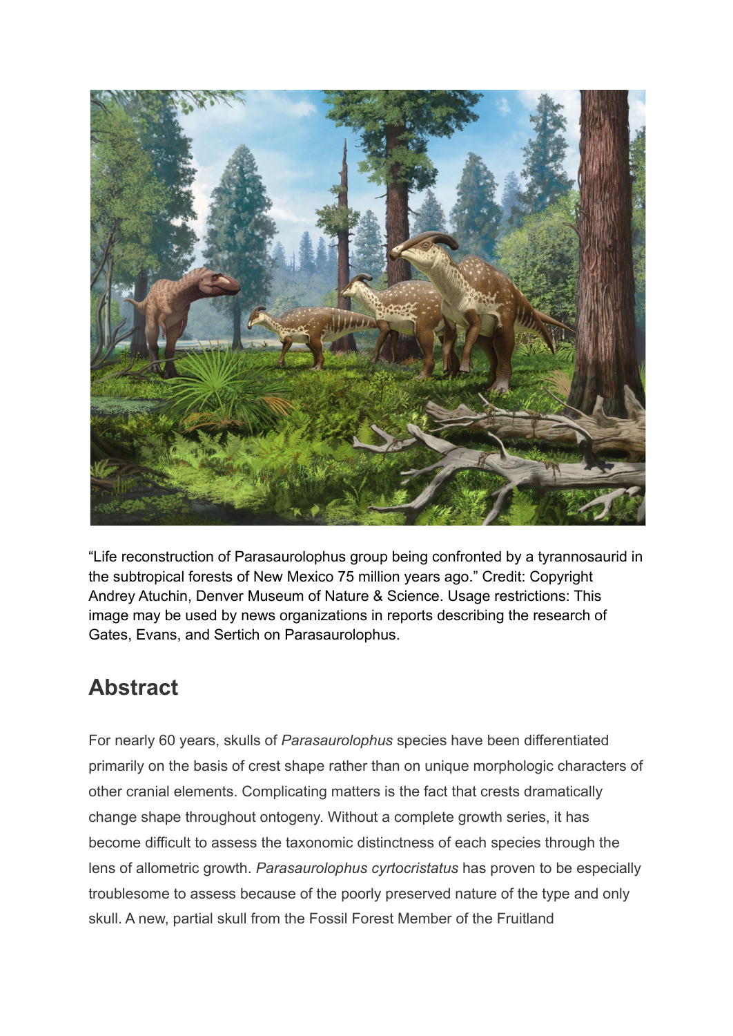

"Life reconstruction of Parasaurolophus group being confronted by a tyrannosaurid in the subtropical forests of New Mexico 75 million years ago." Credit: Copyright Andrey Atuchin, Denver Museum of Nature & Science. Usage restrictions: This image may be used by news organizations in reports describing the research of Gates, Evans, and Sertich on Parasaurolophus.

## **Abstract**

For nearly 60 years, skulls of *Parasaurolophus* species have been differentiated primarily on the basis of crest shape rather than on unique morphologic characters of other cranial elements. Complicating matters is the fact that crests dramatically change shape throughout ontogeny. Without a complete growth series, it has become difficult to assess the taxonomic distinctness of each species through the lens of allometric growth. *Parasaurolophus cyrtocristatus* has proven to be especially troublesome to assess because of the poorly preserved nature of the type and only skull. A new, partial skull from the Fossil Forest Member of the Fruitland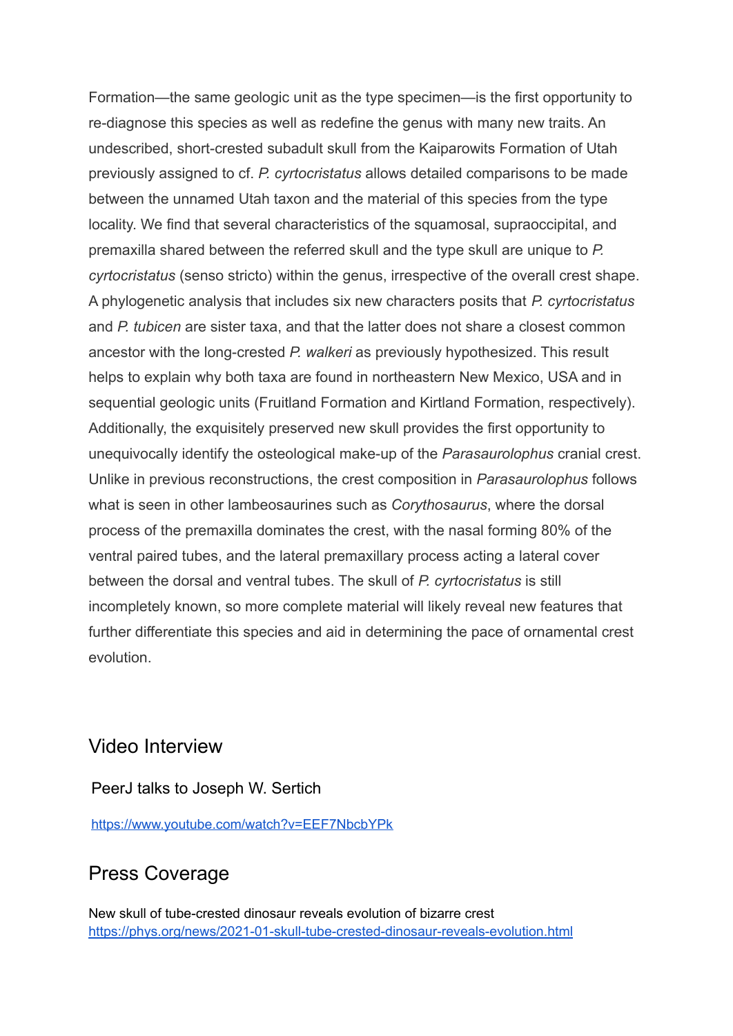Formation—the same geologic unit as the type specimen—is the first opportunity to re-diagnose this species as well as redefine the genus with many new traits. An undescribed, short-crested subadult skull from the Kaiparowits Formation of Utah previously assigned to cf. *P. cyrtocristatus* allows detailed comparisons to be made between the unnamed Utah taxon and the material of this species from the type locality. We find that several characteristics of the squamosal, supraoccipital, and premaxilla shared between the referred skull and the type skull are unique to *P. cyrtocristatus* (senso stricto) within the genus, irrespective of the overall crest shape. A phylogenetic analysis that includes six new characters posits that *P. cyrtocristatus* and *P. tubicen* are sister taxa, and that the latter does not share a closest common ancestor with the long-crested *P. walkeri* as previously hypothesized. This result helps to explain why both taxa are found in northeastern New Mexico, USA and in sequential geologic units (Fruitland Formation and Kirtland Formation, respectively). Additionally, the exquisitely preserved new skull provides the first opportunity to unequivocally identify the osteological make-up of the *Parasaurolophus* cranial crest. Unlike in previous reconstructions, the crest composition in *Parasaurolophus* follows what is seen in other lambeosaurines such as *Corythosaurus*, where the dorsal process of the premaxilla dominates the crest, with the nasal forming 80% of the ventral paired tubes, and the lateral premaxillary process acting a lateral cover between the dorsal and ventral tubes. The skull of *P. cyrtocristatus* is still incompletely known, so more complete material will likely reveal new features that further differentiate this species and aid in determining the pace of ornamental crest evolution.

#### Video Interview

PeerJ talks to Joseph W. Sertich

<https://www.youtube.com/watch?v=EEF7NbcbYPk>

### Press Coverage

New skull of tube-crested dinosaur reveals evolution of bizarre crest <https://phys.org/news/2021-01-skull-tube-crested-dinosaur-reveals-evolution.html>